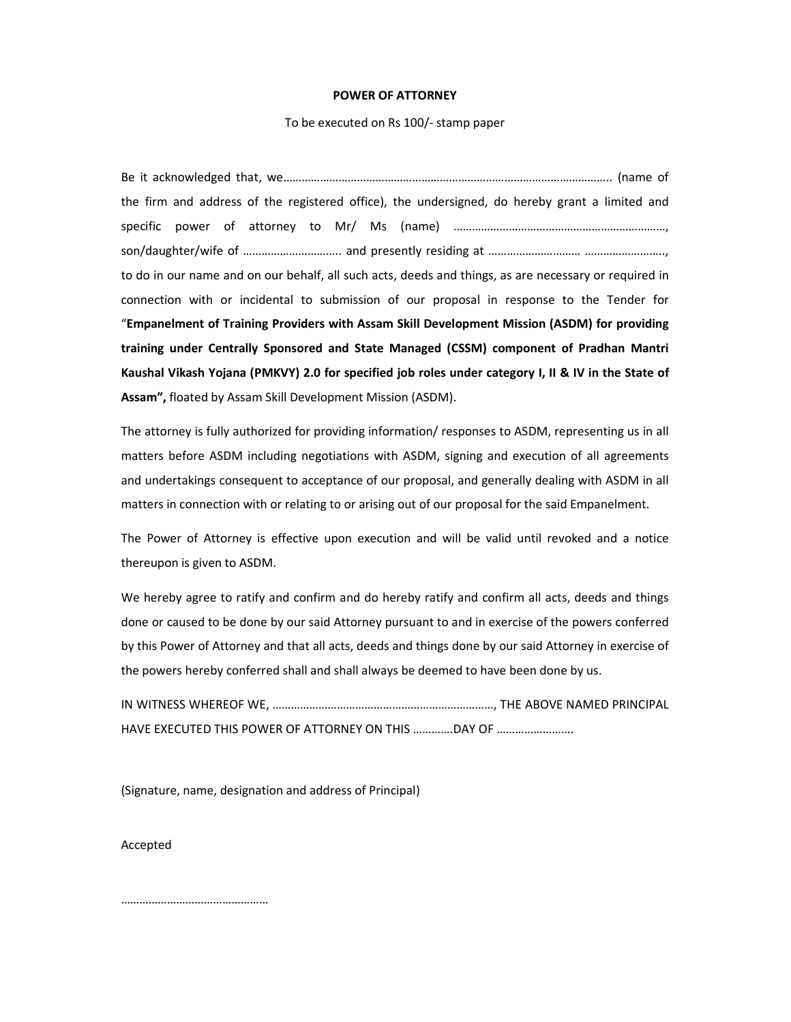## **POWER OF ATTORNEY**

## To be executed on Rs 100/- stamp paper

Be it acknowledged that, we…………………………………………………………………………………………….. (name of the firm and address of the registered office), the undersigned, do hereby grant a limited and specific power of attorney to Mr/ Ms (name) ……………………………………………………………, son/daughter/wife of ………………………….. and presently residing at ………………………… …………………….., to do in our name and on our behalf, all such acts, deeds and things, as are necessary or required in connection with or incidental to submission of our proposal in response to the Tender for "**Empanelment of Training Providers with Assam Skill Development Mission (ASDM) for providing training under Centrally Sponsored and State Managed (CSSM) component of Pradhan Mantri Kaushal Vikash Yojana (PMKVY) 2.0 for specified job roles under category I, II & IV in the State of Assam",** floated by Assam Skill Development Mission (ASDM).

The attorney is fully authorized for providing information/ responses to ASDM, representing us in all matters before ASDM including negotiations with ASDM, signing and execution of all agreements and undertakings consequent to acceptance of our proposal, and generally dealing with ASDM in all matters in connection with or relating to or arising out of our proposal for the said Empanelment.

The Power of Attorney is effective upon execution and will be valid until revoked and a notice thereupon is given to ASDM.

We hereby agree to ratify and confirm and do hereby ratify and confirm all acts, deeds and things done or caused to be done by our said Attorney pursuant to and in exercise of the powers conferred by this Power of Attorney and that all acts, deeds and things done by our said Attorney in exercise of the powers hereby conferred shall and shall always be deemed to have been done by us.

IN WITNESS WHEREOF WE, ………………………………………………………………, THE ABOVE NAMED PRINCIPAL HAVE EXECUTED THIS POWER OF ATTORNEY ON THIS ………….DAY OF …………………….

(Signature, name, designation and address of Principal)

Accepted

…………………………………………